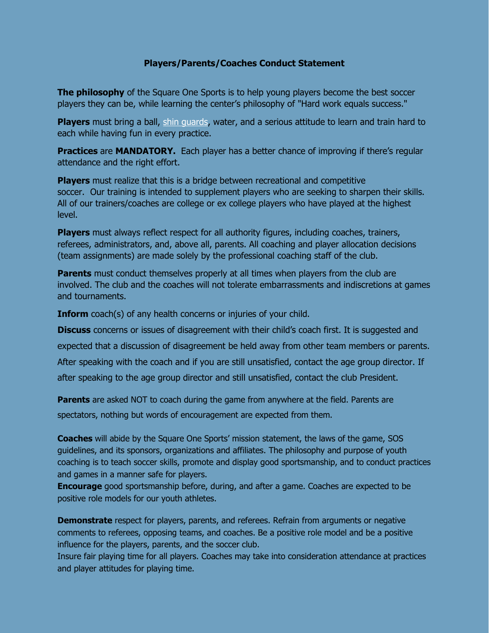## **Players/Parents/Coaches Conduct Statement**

**The philosophy** of the Square One Sports is to help young players become the best soccer players they can be, while learning the center's philosophy of "Hard work equals success."

**Players** must bring a ball, [shin guards,](https://www.chicagointersoccer.com/CodeOfConduct.html) water, and a serious attitude to learn and train hard to each while having fun in every practice.

**Practices** are **MANDATORY.** Each player has a better chance of improving if there's regular attendance and the right effort.

**Players** must realize that this is a bridge between recreational and competitive soccer. Our training is intended to supplement players who are seeking to sharpen their skills. All of our trainers/coaches are college or ex college players who have played at the highest level.

**Players** must always reflect respect for all authority figures, including coaches, trainers, referees, administrators, and, above all, parents. All coaching and player allocation decisions (team assignments) are made solely by the professional coaching staff of the club.

**Parents** must conduct themselves properly at all times when players from the club are involved. The club and the coaches will not tolerate embarrassments and indiscretions at games and tournaments.

**Inform** coach(s) of any health concerns or injuries of your child.

**Discuss** concerns or issues of disagreement with their child's coach first. It is suggested and

expected that a discussion of disagreement be held away from other team members or parents.

After speaking with the coach and if you are still unsatisfied, contact the age group director. If

after speaking to the age group director and still unsatisfied, contact the club President.

**Parents** are asked NOT to coach during the game from anywhere at the field. Parents are

spectators, nothing but words of encouragement are expected from them.

**Coaches** will abide by the Square One Sports' mission statement, the laws of the game, SOS guidelines, and its sponsors, organizations and affiliates. The philosophy and purpose of youth coaching is to teach soccer skills, promote and display good sportsmanship, and to conduct practices and games in a manner safe for players.

**Encourage** good sportsmanship before, during, and after a game. Coaches are expected to be positive role models for our youth athletes.

**Demonstrate** respect for players, parents, and referees. Refrain from arguments or negative comments to referees, opposing teams, and coaches. Be a positive role model and be a positive influence for the players, parents, and the soccer club.

Insure fair playing time for all players. Coaches may take into consideration attendance at practices and player attitudes for playing time.